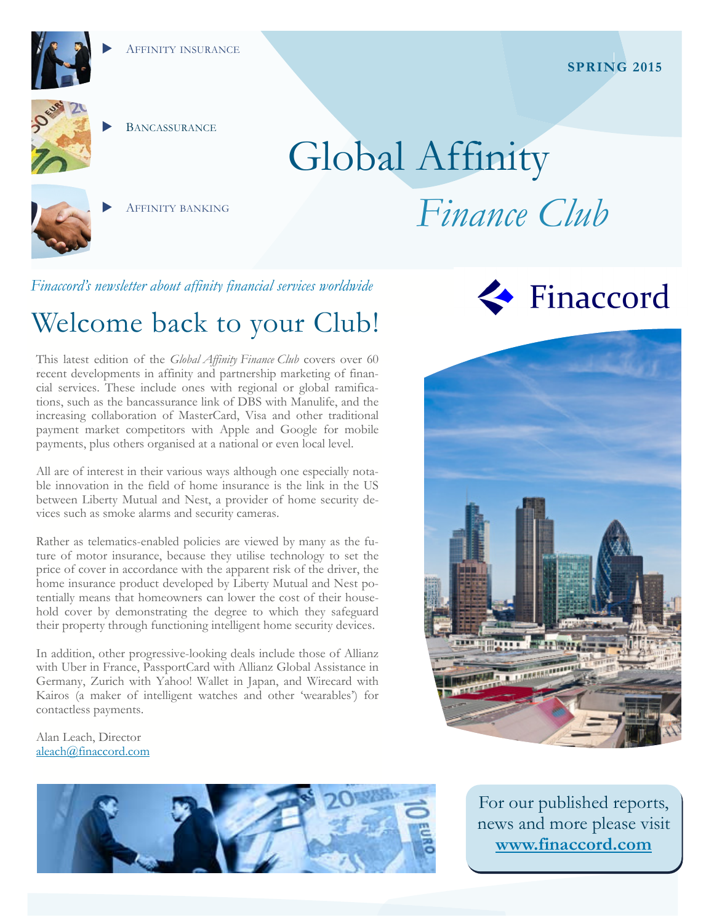



**BANCASSURANCE** 

AFFINITY BANKING

# Global Affinity *Finance Club*

*Finaccord's newsletter about affinity financial services worldwide* 

# Welcome back to your Club!

This latest edition of the *Global Affinity Finance Club* covers over 60 recent developments in affinity and partnership marketing of financial services. These include ones with regional or global ramifications, such as the bancassurance link of DBS with Manulife, and the increasing collaboration of MasterCard, Visa and other traditional payment market competitors with Apple and Google for mobile payments, plus others organised at a national or even local level.

All are of interest in their various ways although one especially notable innovation in the field of home insurance is the link in the US between Liberty Mutual and Nest, a provider of home security devices such as smoke alarms and security cameras.

Rather as telematics-enabled policies are viewed by many as the future of motor insurance, because they utilise technology to set the price of cover in accordance with the apparent risk of the driver, the home insurance product developed by Liberty Mutual and Nest potentially means that homeowners can lower the cost of their household cover by demonstrating the degree to which they safeguard their property through functioning intelligent home security devices.

In addition, other progressive-looking deals include those of Allianz with Uber in France, PassportCard with Allianz Global Assistance in Germany, Zurich with Yahoo! Wallet in Japan, and Wirecard with Kairos (a maker of intelligent watches and other 'wearables') for contactless payments.

Alan Leach, Director aleach@finaccord.com







For our published reports, news and more please visit **www.finaccord.com**

#### **SPRING 2015**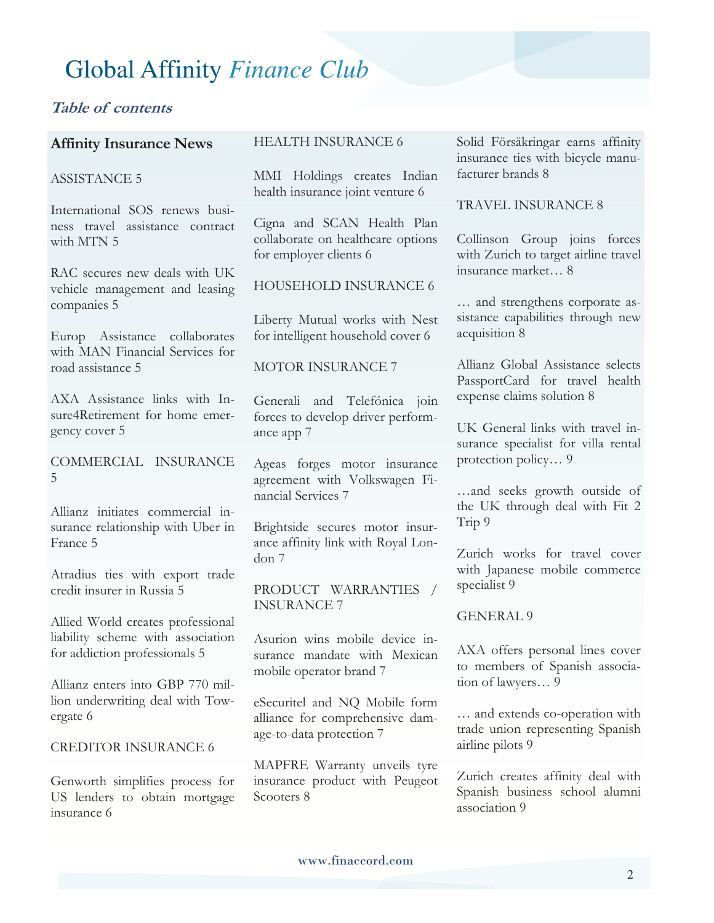#### **Table of contents**

#### **Affinity Insurance News**

#### ASSISTANCE 5

International SOS renews business travel assistance contract with MTN 5

RAC secures new deals with UK vehicle management and leasing companies 5

Europ Assistance collaborates with MAN Financial Services for road assistance 5

AXA Assistance links with Insure4Retirement for home emergency cover 5

COMMERCIAL INSURANCE 5

Allianz initiates commercial insurance relationship with Uber in France 5

Atradius ties with export trade credit insurer in Russia 5

Allied World creates professional liability scheme with association for addiction professionals 5

Allianz enters into GBP 770 million underwriting deal with Towergate 6

#### CREDITOR INSURANCE 6

Genworth simplifies process for US lenders to obtain mortgage insurance 6

#### HEALTH INSURANCE 6

MMI Holdings creates Indian health insurance joint venture 6

Cigna and SCAN Health Plan collaborate on healthcare options for employer clients 6

HOUSEHOLD INSURANCE 6

Liberty Mutual works with Nest for intelligent household cover 6

#### MOTOR INSURANCE 7

Generali and Telefónica join forces to develop driver performance app 7

Ageas forges motor insurance agreement with Volkswagen Financial Services 7

Brightside secures motor insurance affinity link with Royal London 7

PRODUCT WARRANTIES / INSURANCE 7

Asurion wins mobile device insurance mandate with Mexican mobile operator brand 7

eSecuritel and NQ Mobile form alliance for comprehensive damage-to-data protection 7

MAPFRE Warranty unveils tyre insurance product with Peugeot Scooters 8

Solid Försäkringar earns affinity insurance ties with bicycle manufacturer brands 8

#### TRAVEL INSURANCE 8

Collinson Group joins forces with Zurich to target airline travel insurance market… 8

… and strengthens corporate assistance capabilities through new acquisition 8

Allianz Global Assistance selects PassportCard for travel health expense claims solution 8

UK General links with travel insurance specialist for villa rental protection policy… 9

…and seeks growth outside of the UK through deal with Fit 2 Trip 9

Zurich works for travel cover with Japanese mobile commerce specialist 9

GENERAL 9

AXA offers personal lines cover to members of Spanish association of lawyers… 9

… and extends co-operation with trade union representing Spanish airline pilots 9

Zurich creates affinity deal with Spanish business school alumni association 9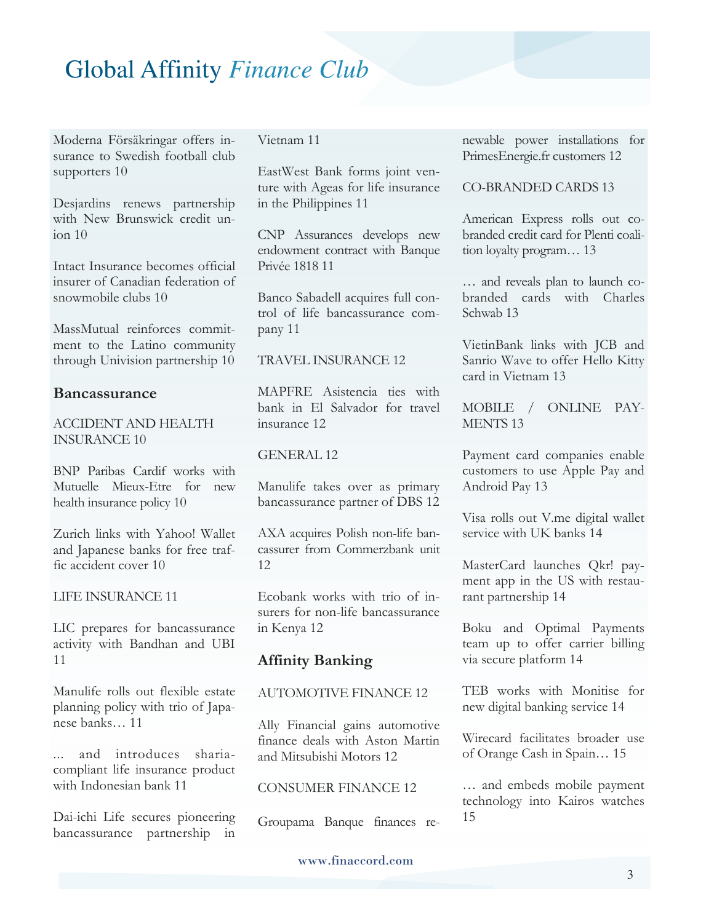Moderna Försäkringar offers insurance to Swedish football club supporters 10

Desjardins renews partnership with New Brunswick credit union 10

Intact Insurance becomes official insurer of Canadian federation of snowmobile clubs 10

MassMutual reinforces commitment to the Latino community through Univision partnership 10

#### **Bancassurance**

#### ACCIDENT AND HEALTH INSURANCE 10

BNP Paribas Cardif works with Mutuelle Mieux-Etre for new health insurance policy 10

Zurich links with Yahoo! Wallet and Japanese banks for free traffic accident cover 10

#### LIFE INSURANCE 11

LIC prepares for bancassurance activity with Bandhan and UBI 11

Manulife rolls out flexible estate planning policy with trio of Japanese banks… 11

... and introduces shariacompliant life insurance product with Indonesian bank 11

Dai-ichi Life secures pioneering bancassurance partnership in Vietnam 11

EastWest Bank forms joint venture with Ageas for life insurance in the Philippines 11

CNP Assurances develops new endowment contract with Banque Privée 1818 11

Banco Sabadell acquires full control of life bancassurance company 11

#### TRAVEL INSURANCE 12

MAPFRE Asistencia ties with bank in El Salvador for travel insurance 12

#### GENERAL 12

Manulife takes over as primary bancassurance partner of DBS 12

AXA acquires Polish non-life bancassurer from Commerzbank unit 12

Ecobank works with trio of insurers for non-life bancassurance in Kenya 12

#### **Affinity Banking**

#### AUTOMOTIVE FINANCE 12

Ally Financial gains automotive finance deals with Aston Martin and Mitsubishi Motors 12

#### CONSUMER FINANCE 12

Groupama Banque finances re-

newable power installations for PrimesEnergie.fr customers 12

#### CO-BRANDED CARDS 13

American Express rolls out cobranded credit card for Plenti coalition loyalty program… 13

… and reveals plan to launch cobranded cards with Charles Schwab 13

VietinBank links with JCB and Sanrio Wave to offer Hello Kitty card in Vietnam 13

MOBILE / ONLINE PAY-MENTS 13

Payment card companies enable customers to use Apple Pay and Android Pay 13

Visa rolls out V.me digital wallet service with UK banks 14

MasterCard launches Qkr! payment app in the US with restaurant partnership 14

Boku and Optimal Payments team up to offer carrier billing via secure platform 14

TEB works with Monitise for new digital banking service 14

Wirecard facilitates broader use of Orange Cash in Spain… 15

… and embeds mobile payment technology into Kairos watches 15

#### www.finaccord.com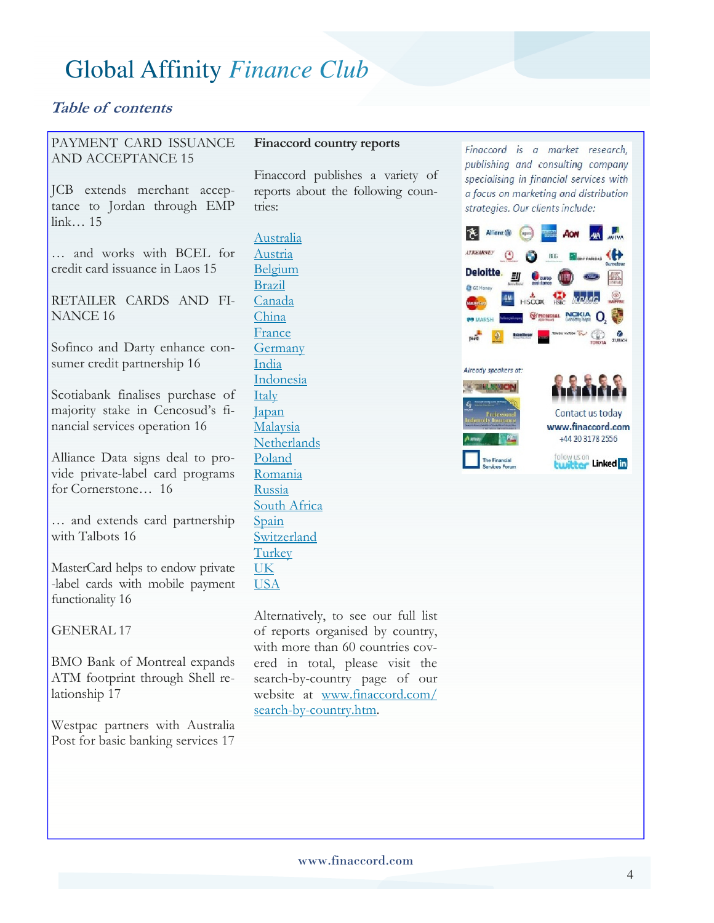#### **Table of contents**

#### PAYMENT CARD ISSUANCE AND ACCEPTANCE 15

JCB extends merchant acceptance to Jordan through EMP link… 15

… and works with BCEL for credit card issuance in Laos 15

RETAILER CARDS AND FI-NANCE 16

Sofinco and Darty enhance consumer credit partnership 16

Scotiabank finalises purchase of majority stake in Cencosud's financial services operation 16

Alliance Data signs deal to provide private-label card programs for Cornerstone… 16

… and extends card partnership with Talbots 16

MasterCard helps to endow private -label cards with mobile payment functionality 16

GENERAL 17

BMO Bank of Montreal expands ATM footprint through Shell relationship 17

Westpac partners with Australia Post for basic banking services 17

#### **Finaccord country reports**

Finaccord publishes a variety of reports about the following countries:

Australia Austria Belgium Brazil Canada China France Germany India Indonesia **Italy** Japan Malaysia **Netherlands** Poland Romania Russia South Africa Spain Switzerland **Turkey** UK USA

Alternatively, to see our full list of reports organised by country, with more than 60 countries covered in total, please visit the search-by-country page of our website at www.finaccord.com/ search-by-country.htm.

Finaccord is a market research, publishing and consulting company specialising in financial services with a focus on marketing and distribution strategies. Our clients include:

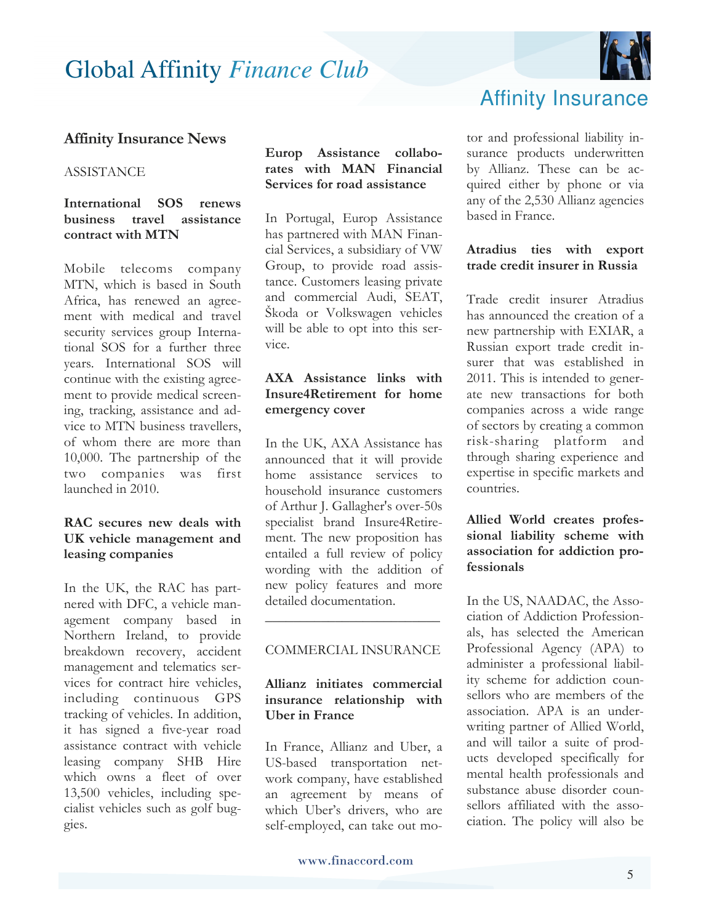

#### **Affinity Insurance News**

#### ASSISTANCE

#### **International SOS renews business travel assistance contract with MTN**

Mobile telecoms company MTN, which is based in South Africa, has renewed an agreement with medical and travel security services group International SOS for a further three years. International SOS will continue with the existing agreement to provide medical screening, tracking, assistance and advice to MTN business travellers, of whom there are more than 10,000. The partnership of the two companies was first launched in 2010.

#### **RAC secures new deals with UK vehicle management and leasing companies**

In the UK, the RAC has partnered with DFC, a vehicle management company based in Northern Ireland, to provide breakdown recovery, accident management and telematics services for contract hire vehicles, including continuous GPS tracking of vehicles. In addition, it has signed a five-year road assistance contract with vehicle leasing company SHB Hire which owns a fleet of over 13,500 vehicles, including specialist vehicles such as golf buggies.

#### **Europ Assistance collaborates with MAN Financial Services for road assistance**

In Portugal, Europ Assistance has partnered with MAN Financial Services, a subsidiary of VW Group, to provide road assistance. Customers leasing private and commercial Audi, SEAT, Škoda or Volkswagen vehicles will be able to opt into this service.

#### **AXA Assistance links with Insure4Retirement for home emergency cover**

In the UK, AXA Assistance has announced that it will provide home assistance services to household insurance customers of Arthur J. Gallagher's over-50s specialist brand Insure4Retirement. The new proposition has entailed a full review of policy wording with the addition of new policy features and more detailed documentation.

#### COMMERCIAL INSURANCE

 $\overline{\phantom{a}}$  , where  $\overline{\phantom{a}}$  , where  $\overline{\phantom{a}}$  , where  $\overline{\phantom{a}}$ 

#### **Allianz initiates commercial insurance relationship with Uber in France**

In France, Allianz and Uber, a US-based transportation network company, have established an agreement by means of which Uber's drivers, who are self-employed, can take out mo-

### Affinity Insurance

tor and professional liability insurance products underwritten by Allianz. These can be acquired either by phone or via any of the 2,530 Allianz agencies based in France.

#### **Atradius ties with export trade credit insurer in Russia**

Trade credit insurer Atradius has announced the creation of a new partnership with EXIAR, a Russian export trade credit insurer that was established in 2011. This is intended to generate new transactions for both companies across a wide range of sectors by creating a common risk-sharing platform and through sharing experience and expertise in specific markets and countries.

#### **Allied World creates professional liability scheme with association for addiction professionals**

In the US, NAADAC, the Association of Addiction Professionals, has selected the American Professional Agency (APA) to administer a professional liability scheme for addiction counsellors who are members of the association. APA is an underwriting partner of Allied World, and will tailor a suite of products developed specifically for mental health professionals and substance abuse disorder counsellors affiliated with the association. The policy will also be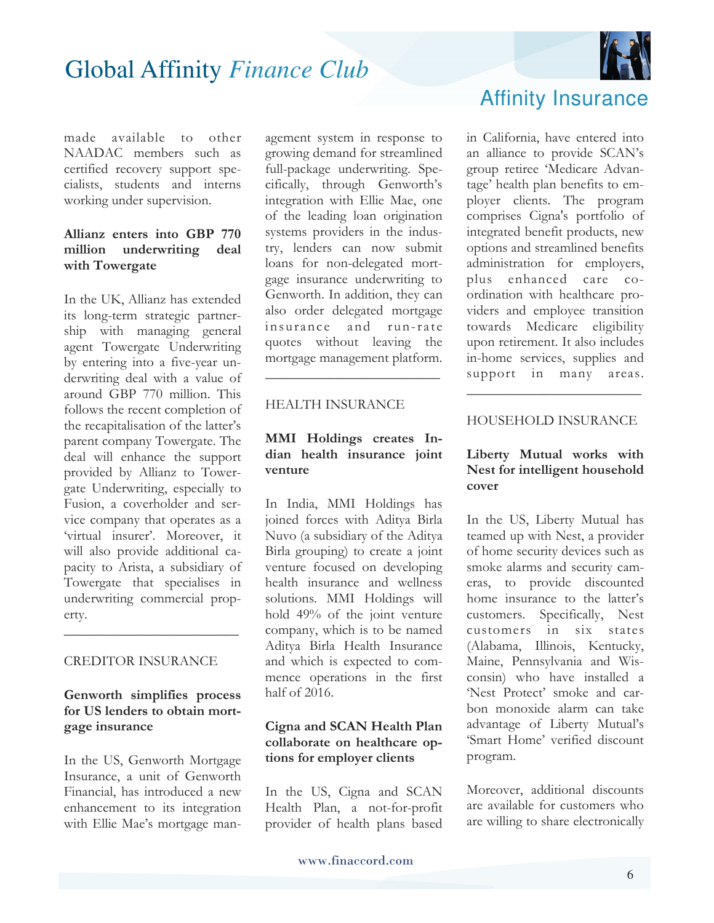

made available to other NAADAC members such as certified recovery support specialists, students and interns working under supervision.

#### **Allianz enters into GBP 770 million underwriting deal with Towergate**

In the UK, Allianz has extended its long-term strategic partnership with managing general agent Towergate Underwriting by entering into a five-year underwriting deal with a value of around GBP 770 million. This follows the recent completion of the recapitalisation of the latter's parent company Towergate. The deal will enhance the support provided by Allianz to Towergate Underwriting, especially to Fusion, a coverholder and service company that operates as a 'virtual insurer'. Moreover, it will also provide additional capacity to Arista, a subsidiary of Towergate that specialises in underwriting commercial property.

#### CREDITOR INSURANCE

#### **Genworth simplifies process for US lenders to obtain mortgage insurance**

\_\_\_\_\_\_\_\_\_\_\_\_\_\_\_\_\_\_\_\_\_\_\_\_\_

In the US, Genworth Mortgage Insurance, a unit of Genworth Financial, has introduced a new enhancement to its integration with Ellie Mae's mortgage man-

agement system in response to growing demand for streamlined full-package underwriting. Specifically, through Genworth's integration with Ellie Mae, one of the leading loan origination systems providers in the industry, lenders can now submit loans for non-delegated mortgage insurance underwriting to Genworth. In addition, they can also order delegated mortgage insurance and run-rate quotes without leaving the mortgage management platform.

#### HEALTH INSURANCE

#### **MMI Holdings creates Indian health insurance joint venture**

\_\_\_\_\_\_\_\_\_\_\_\_\_\_\_\_\_\_\_\_\_\_\_\_\_

In India, MMI Holdings has joined forces with Aditya Birla Nuvo (a subsidiary of the Aditya Birla grouping) to create a joint venture focused on developing health insurance and wellness solutions. MMI Holdings will hold 49% of the joint venture company, which is to be named Aditya Birla Health Insurance and which is expected to commence operations in the first half of 2016.

#### **Cigna and SCAN Health Plan collaborate on healthcare options for employer clients**

In the US, Cigna and SCAN Health Plan, a not-for-profit provider of health plans based

### Affinity Insurance

in California, have entered into an alliance to provide SCAN's group retiree 'Medicare Advantage' health plan benefits to employer clients. The program comprises Cigna's portfolio of integrated benefit products, new options and streamlined benefits administration for employers, plus enhanced care coordination with healthcare providers and employee transition towards Medicare eligibility upon retirement. It also includes in-home services, supplies and support in many areas.

#### HOUSEHOLD INSURANCE

\_\_\_\_\_\_\_\_\_\_\_\_\_\_\_\_\_\_\_\_\_\_\_\_\_

#### **Liberty Mutual works with Nest for intelligent household cover**

In the US, Liberty Mutual has teamed up with Nest, a provider of home security devices such as smoke alarms and security cameras, to provide discounted home insurance to the latter's customers. Specifically, Nest customers in six states (Alabama, Illinois, Kentucky, Maine, Pennsylvania and Wisconsin) who have installed a 'Nest Protect' smoke and carbon monoxide alarm can take advantage of Liberty Mutual's 'Smart Home' verified discount program.

Moreover, additional discounts are available for customers who are willing to share electronically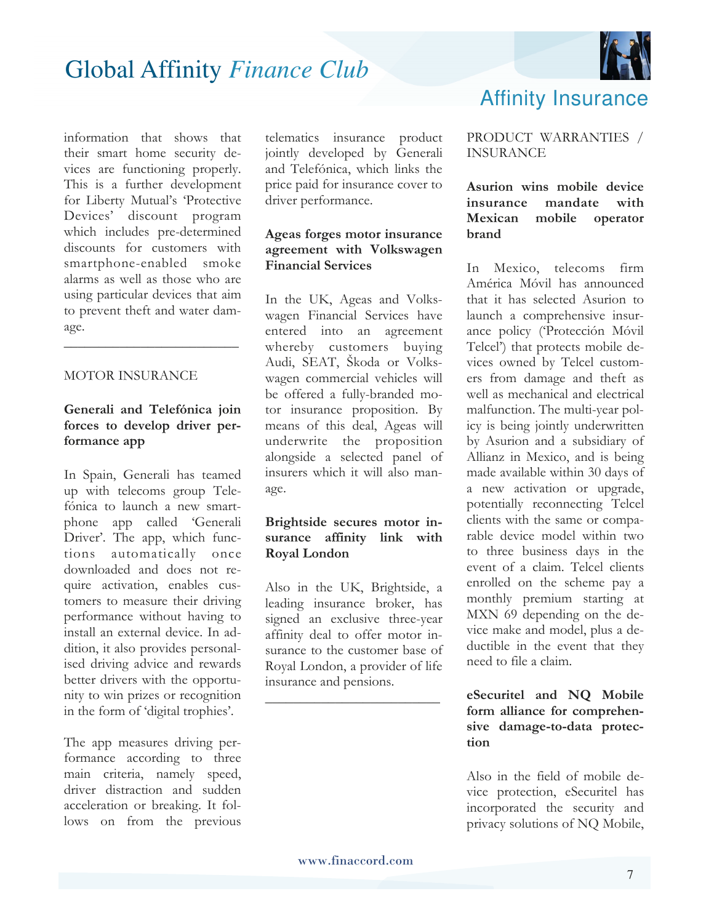

information that shows that their smart home security devices are functioning properly. This is a further development for Liberty Mutual's 'Protective Devices' discount program which includes pre-determined discounts for customers with smartphone-enabled smoke alarms as well as those who are using particular devices that aim to prevent theft and water damage. \_\_\_\_\_\_\_\_\_\_\_\_\_\_\_\_\_\_\_\_\_\_\_\_\_

#### MOTOR INSURANCE

#### **Generali and Telefónica join forces to develop driver performance app**

In Spain, Generali has teamed up with telecoms group Telefónica to launch a new smartphone app called 'Generali Driver'. The app, which functions automatically once downloaded and does not require activation, enables customers to measure their driving performance without having to install an external device. In addition, it also provides personalised driving advice and rewards better drivers with the opportunity to win prizes or recognition in the form of 'digital trophies'.

The app measures driving performance according to three main criteria, namely speed, driver distraction and sudden acceleration or breaking. It follows on from the previous

telematics insurance product jointly developed by Generali and Telefónica, which links the price paid for insurance cover to driver performance.

#### **Ageas forges motor insurance agreement with Volkswagen Financial Services**

In the UK, Ageas and Volkswagen Financial Services have entered into an agreement whereby customers buying Audi, SEAT, Škoda or Volkswagen commercial vehicles will be offered a fully-branded motor insurance proposition. By means of this deal, Ageas will underwrite the proposition alongside a selected panel of insurers which it will also manage.

#### **Brightside secures motor insurance affinity link with Royal London**

Also in the UK, Brightside, a leading insurance broker, has signed an exclusive three-year affinity deal to offer motor insurance to the customer base of Royal London, a provider of life insurance and pensions.

\_\_\_\_\_\_\_\_\_\_\_\_\_\_\_\_\_\_\_\_\_\_\_\_\_

### Affinity Insurance

PRODUCT WARRANTIES / INSURANCE

**Asurion wins mobile device insurance mandate with Mexican mobile operator brand** 

In Mexico, telecoms firm América Móvil has announced that it has selected Asurion to launch a comprehensive insurance policy ('Protección Móvil Telcel') that protects mobile devices owned by Telcel customers from damage and theft as well as mechanical and electrical malfunction. The multi-year policy is being jointly underwritten by Asurion and a subsidiary of Allianz in Mexico, and is being made available within 30 days of a new activation or upgrade, potentially reconnecting Telcel clients with the same or comparable device model within two to three business days in the event of a claim. Telcel clients enrolled on the scheme pay a monthly premium starting at MXN 69 depending on the device make and model, plus a deductible in the event that they need to file a claim.

#### **eSecuritel and NQ Mobile form alliance for comprehensive damage-to-data protection**

Also in the field of mobile device protection, eSecuritel has incorporated the security and privacy solutions of NQ Mobile,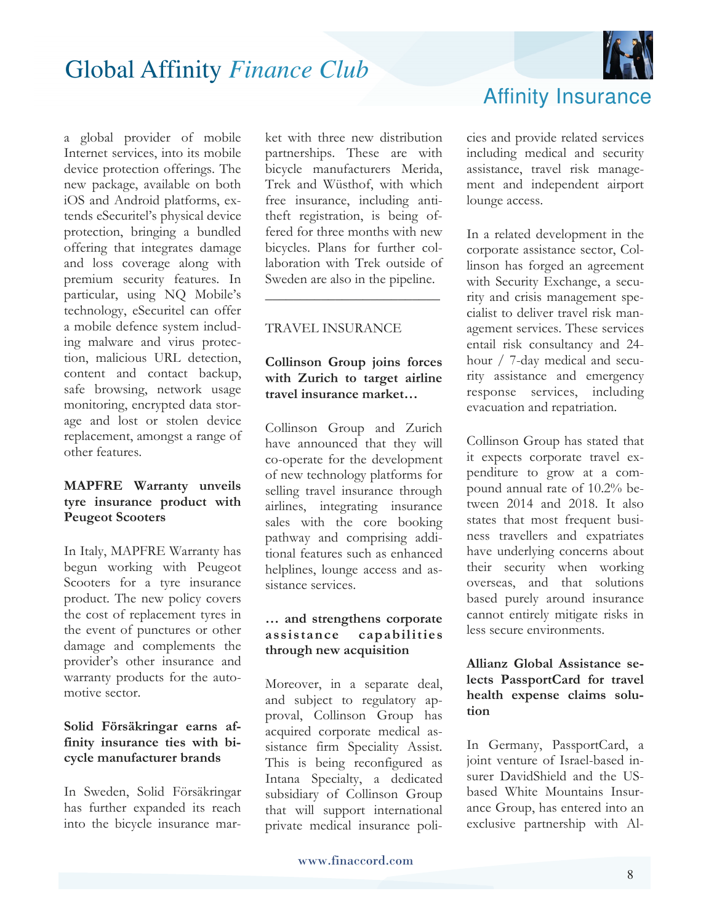

a global provider of mobile Internet services, into its mobile device protection offerings. The new package, available on both iOS and Android platforms, extends eSecuritel's physical device protection, bringing a bundled offering that integrates damage and loss coverage along with premium security features. In particular, using NQ Mobile's technology, eSecuritel can offer a mobile defence system including malware and virus protection, malicious URL detection, content and contact backup, safe browsing, network usage monitoring, encrypted data storage and lost or stolen device replacement, amongst a range of other features.

#### **MAPFRE Warranty unveils tyre insurance product with Peugeot Scooters**

In Italy, MAPFRE Warranty has begun working with Peugeot Scooters for a tyre insurance product. The new policy covers the cost of replacement tyres in the event of punctures or other damage and complements the provider's other insurance and warranty products for the automotive sector.

#### **Solid Försäkringar earns affinity insurance ties with bicycle manufacturer brands**

In Sweden, Solid Försäkringar has further expanded its reach into the bicycle insurance market with three new distribution partnerships. These are with bicycle manufacturers Merida, Trek and Wüsthof, with which free insurance, including antitheft registration, is being offered for three months with new bicycles. Plans for further collaboration with Trek outside of Sweden are also in the pipeline.

#### TRAVEL INSURANCE

#### **Collinson Group joins forces with Zurich to target airline travel insurance market…**

\_\_\_\_\_\_\_\_\_\_\_\_\_\_\_\_\_\_\_\_\_\_\_\_\_

Collinson Group and Zurich have announced that they will co-operate for the development of new technology platforms for selling travel insurance through airlines, integrating insurance sales with the core booking pathway and comprising additional features such as enhanced helplines, lounge access and assistance services.

#### **… and strengthens corporate assistance capabilities through new acquisition**

Moreover, in a separate deal, and subject to regulatory approval, Collinson Group has acquired corporate medical assistance firm Speciality Assist. This is being reconfigured as Intana Specialty, a dedicated subsidiary of Collinson Group that will support international private medical insurance policies and provide related services including medical and security assistance, travel risk management and independent airport

Affinity Insurance

lounge access.

In a related development in the corporate assistance sector, Collinson has forged an agreement with Security Exchange, a security and crisis management specialist to deliver travel risk management services. These services entail risk consultancy and 24 hour / 7-day medical and security assistance and emergency response services, including evacuation and repatriation.

Collinson Group has stated that it expects corporate travel expenditure to grow at a compound annual rate of 10.2% between 2014 and 2018. It also states that most frequent business travellers and expatriates have underlying concerns about their security when working overseas, and that solutions based purely around insurance cannot entirely mitigate risks in less secure environments.

#### **Allianz Global Assistance selects PassportCard for travel health expense claims solution**

In Germany, PassportCard, a joint venture of Israel-based insurer DavidShield and the USbased White Mountains Insurance Group, has entered into an exclusive partnership with Al-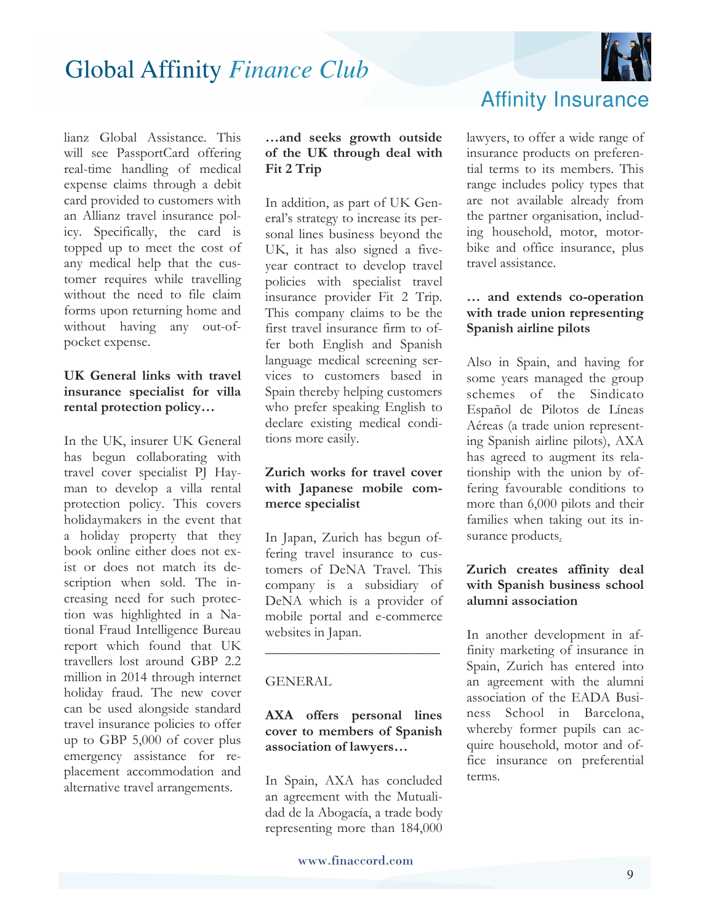

lianz Global Assistance. This will see PassportCard offering real-time handling of medical expense claims through a debit card provided to customers with an Allianz travel insurance policy. Specifically, the card is topped up to meet the cost of any medical help that the customer requires while travelling without the need to file claim forms upon returning home and without having any out-ofpocket expense.

#### **UK General links with travel insurance specialist for villa rental protection policy…**

In the UK, insurer UK General has begun collaborating with travel cover specialist PJ Hayman to develop a villa rental protection policy. This covers holidaymakers in the event that a holiday property that they book online either does not exist or does not match its description when sold. The increasing need for such protection was highlighted in a National Fraud Intelligence Bureau report which found that UK travellers lost around GBP 2.2 million in 2014 through internet holiday fraud. The new cover can be used alongside standard travel insurance policies to offer up to GBP 5,000 of cover plus emergency assistance for replacement accommodation and alternative travel arrangements.

#### **…and seeks growth outside of the UK through deal with Fit 2 Trip**

In addition, as part of UK General's strategy to increase its personal lines business beyond the UK, it has also signed a fiveyear contract to develop travel policies with specialist travel insurance provider Fit 2 Trip. This company claims to be the first travel insurance firm to offer both English and Spanish language medical screening services to customers based in Spain thereby helping customers who prefer speaking English to declare existing medical conditions more easily.

#### **Zurich works for travel cover with Japanese mobile commerce specialist**

In Japan, Zurich has begun offering travel insurance to customers of DeNA Travel. This company is a subsidiary of DeNA which is a provider of mobile portal and e-commerce websites in Japan.

 $\overline{\phantom{a}}$  , where  $\overline{\phantom{a}}$  , where  $\overline{\phantom{a}}$  , where  $\overline{\phantom{a}}$ 

#### GENERAL

#### **AXA offers personal lines cover to members of Spanish association of lawyers…**

In Spain, AXA has concluded an agreement with the Mutualidad de la Abogacía, a trade body representing more than 184,000

### Affinity Insurance

lawyers, to offer a wide range of insurance products on preferential terms to its members. This range includes policy types that are not available already from the partner organisation, including household, motor, motorbike and office insurance, plus travel assistance.

#### **… and extends co-operation with trade union representing Spanish airline pilots**

Also in Spain, and having for some years managed the group schemes of the Sindicato Español de Pilotos de Líneas Aéreas (a trade union representing Spanish airline pilots), AXA has agreed to augment its relationship with the union by offering favourable conditions to more than 6,000 pilots and their families when taking out its insurance products.

#### **Zurich creates affinity deal with Spanish business school alumni association**

In another development in affinity marketing of insurance in Spain, Zurich has entered into an agreement with the alumni association of the EADA Business School in Barcelona, whereby former pupils can acquire household, motor and office insurance on preferential terms.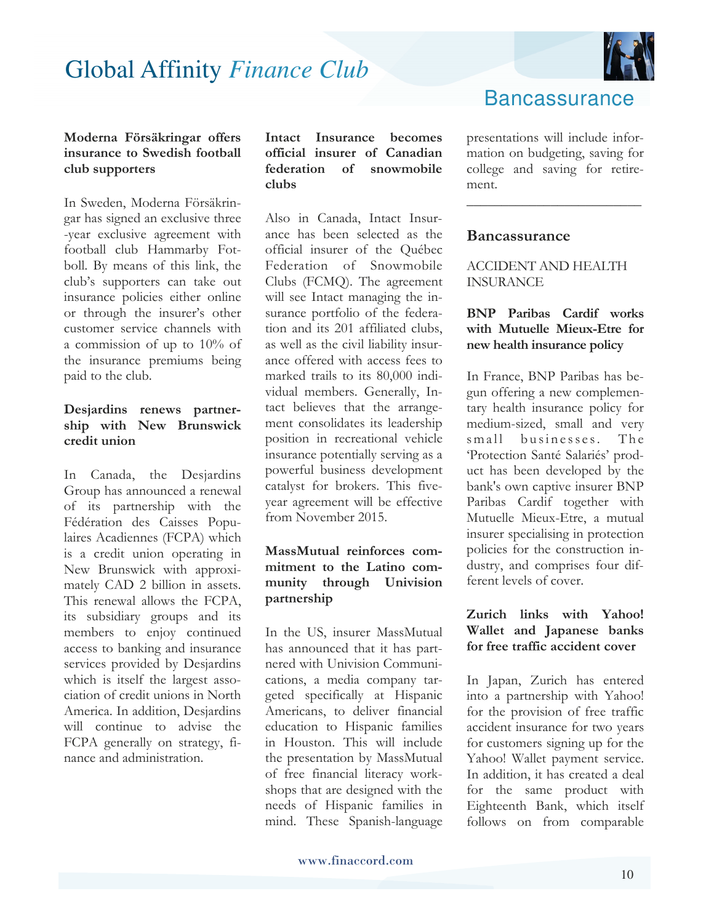

#### **Moderna Försäkringar offers insurance to Swedish football club supporters**

In Sweden, Moderna Försäkringar has signed an exclusive three -year exclusive agreement with football club Hammarby Fotboll. By means of this link, the club's supporters can take out insurance policies either online or through the insurer's other customer service channels with a commission of up to 10% of the insurance premiums being paid to the club.

#### **Desjardins renews partnership with New Brunswick credit union**

In Canada, the Desjardins Group has announced a renewal of its partnership with the Fédération des Caisses Populaires Acadiennes (FCPA) which is a credit union operating in New Brunswick with approximately CAD 2 billion in assets. This renewal allows the FCPA, its subsidiary groups and its members to enjoy continued access to banking and insurance services provided by Desjardins which is itself the largest association of credit unions in North America. In addition, Desjardins will continue to advise the FCPA generally on strategy, finance and administration.

**Intact Insurance becomes official insurer of Canadian federation of snowmobile clubs** 

Also in Canada, Intact Insurance has been selected as the official insurer of the Québec Federation of Snowmobile Clubs (FCMQ). The agreement will see Intact managing the insurance portfolio of the federation and its 201 affiliated clubs, as well as the civil liability insurance offered with access fees to marked trails to its 80,000 individual members. Generally, Intact believes that the arrangement consolidates its leadership position in recreational vehicle insurance potentially serving as a powerful business development catalyst for brokers. This fiveyear agreement will be effective from November 2015.

#### **MassMutual reinforces commitment to the Latino community through Univision partnership**

In the US, insurer MassMutual has announced that it has partnered with Univision Communications, a media company targeted specifically at Hispanic Americans, to deliver financial education to Hispanic families in Houston. This will include the presentation by MassMutual of free financial literacy workshops that are designed with the needs of Hispanic families in mind. These Spanish-language

### **Bancassurance**

presentations will include information on budgeting, saving for college and saving for retirement.

\_\_\_\_\_\_\_\_\_\_\_\_\_\_\_\_\_\_\_\_\_\_\_\_\_

#### **Bancassurance**

#### ACCIDENT AND HEALTH INSURANCE

#### **BNP Paribas Cardif works with Mutuelle Mieux-Etre for new health insurance policy**

In France, BNP Paribas has begun offering a new complementary health insurance policy for medium-sized, small and very small businesses. The 'Protection Santé Salariés' product has been developed by the bank's own captive insurer BNP Paribas Cardif together with Mutuelle Mieux-Etre, a mutual insurer specialising in protection policies for the construction industry, and comprises four different levels of cover.

#### **Zurich links with Yahoo! Wallet and Japanese banks for free traffic accident cover**

In Japan, Zurich has entered into a partnership with Yahoo! for the provision of free traffic accident insurance for two years for customers signing up for the Yahoo! Wallet payment service. In addition, it has created a deal for the same product with Eighteenth Bank, which itself follows on from comparable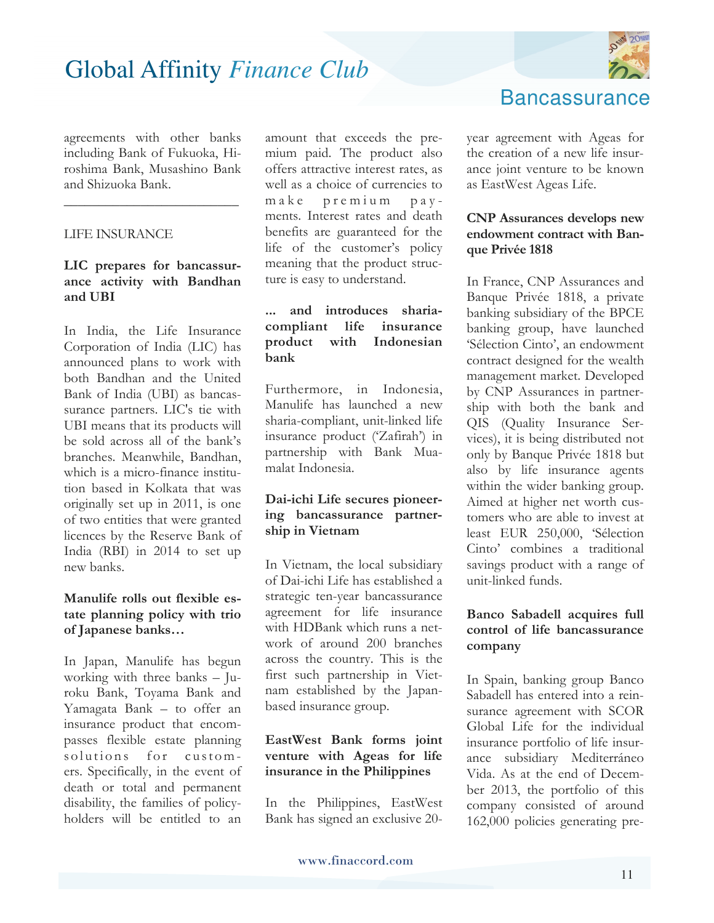

agreements with other banks including Bank of Fukuoka, Hiroshima Bank, Musashino Bank and Shizuoka Bank.

\_\_\_\_\_\_\_\_\_\_\_\_\_\_\_\_\_\_\_\_\_\_\_\_\_

#### LIFE INSURANCE

#### **LIC prepares for bancassurance activity with Bandhan and UBI**

In India, the Life Insurance Corporation of India (LIC) has announced plans to work with both Bandhan and the United Bank of India (UBI) as bancassurance partners. LIC's tie with UBI means that its products will be sold across all of the bank's branches. Meanwhile, Bandhan, which is a micro-finance institution based in Kolkata that was originally set up in 2011, is one of two entities that were granted licences by the Reserve Bank of India (RBI) in 2014 to set up new banks.

#### **Manulife rolls out flexible estate planning policy with trio of Japanese banks…**

In Japan, Manulife has begun working with three banks – Juroku Bank, Toyama Bank and Yamagata Bank – to offer an insurance product that encompasses flexible estate planning solutions for customers. Specifically, in the event of death or total and permanent disability, the families of policyholders will be entitled to an

amount that exceeds the premium paid. The product also offers attractive interest rates, as well as a choice of currencies to make premium payments. Interest rates and death benefits are guaranteed for the life of the customer's policy meaning that the product structure is easy to understand.

#### **... and introduces shariacompliant life insurance product with Indonesian bank**

Furthermore, in Indonesia, Manulife has launched a new sharia-compliant, unit-linked life insurance product ('Zafirah') in partnership with Bank Muamalat Indonesia.

#### **Dai-ichi Life secures pioneering bancassurance partnership in Vietnam**

In Vietnam, the local subsidiary of Dai-ichi Life has established a strategic ten-year bancassurance agreement for life insurance with HDBank which runs a network of around 200 branches across the country. This is the first such partnership in Vietnam established by the Japanbased insurance group.

#### **EastWest Bank forms joint venture with Ageas for life insurance in the Philippines**

In the Philippines, EastWest Bank has signed an exclusive 20**Bancassurance** 

year agreement with Ageas for the creation of a new life insurance joint venture to be known as EastWest Ageas Life.

#### **CNP Assurances develops new endowment contract with Banque Privée 1818**

In France, CNP Assurances and Banque Privée 1818, a private banking subsidiary of the BPCE banking group, have launched 'Sélection Cinto', an endowment contract designed for the wealth management market. Developed by CNP Assurances in partnership with both the bank and QIS (Quality Insurance Services), it is being distributed not only by Banque Privée 1818 but also by life insurance agents within the wider banking group. Aimed at higher net worth customers who are able to invest at least EUR 250,000, 'Sélection Cinto' combines a traditional savings product with a range of unit-linked funds.

#### **Banco Sabadell acquires full control of life bancassurance company**

In Spain, banking group Banco Sabadell has entered into a reinsurance agreement with SCOR Global Life for the individual insurance portfolio of life insurance subsidiary Mediterráneo Vida. As at the end of December 2013, the portfolio of this company consisted of around 162,000 policies generating pre-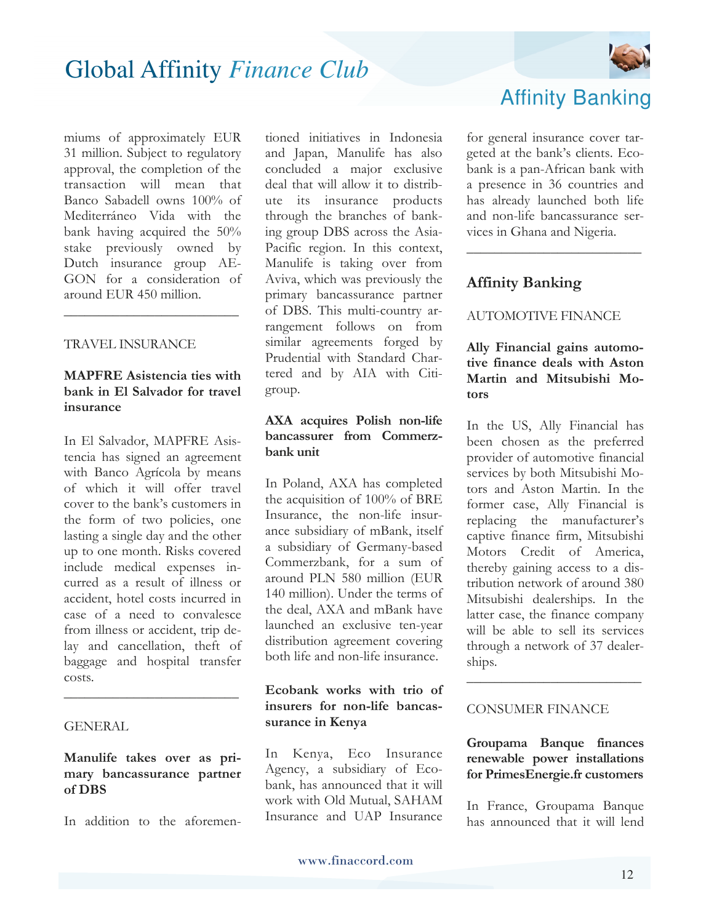miums of approximately EUR 31 million. Subject to regulatory approval, the completion of the transaction will mean that Banco Sabadell owns 100% of Mediterráneo Vida with the bank having acquired the 50% stake previously owned by Dutch insurance group AE-GON for a consideration of around EUR 450 million.

#### TRAVEL INSURANCE

#### **MAPFRE Asistencia ties with bank in El Salvador for travel insurance**

\_\_\_\_\_\_\_\_\_\_\_\_\_\_\_\_\_\_\_\_\_\_\_\_\_

In El Salvador, MAPFRE Asistencia has signed an agreement with Banco Agrícola by means of which it will offer travel cover to the bank's customers in the form of two policies, one lasting a single day and the other up to one month. Risks covered include medical expenses incurred as a result of illness or accident, hotel costs incurred in case of a need to convalesce from illness or accident, trip delay and cancellation, theft of baggage and hospital transfer costs.

#### **GENERAL**

**Manulife takes over as primary bancassurance partner of DBS** 

\_\_\_\_\_\_\_\_\_\_\_\_\_\_\_\_\_\_\_\_\_\_\_\_\_

In addition to the aforemen-

tioned initiatives in Indonesia and Japan, Manulife has also concluded a major exclusive deal that will allow it to distribute its insurance products through the branches of banking group DBS across the Asia-Pacific region. In this context, Manulife is taking over from Aviva, which was previously the primary bancassurance partner of DBS. This multi-country arrangement follows on from similar agreements forged by Prudential with Standard Chartered and by AIA with Citigroup.

#### **AXA acquires Polish non-life bancassurer from Commerzbank unit**

In Poland, AXA has completed the acquisition of 100% of BRE Insurance, the non-life insurance subsidiary of mBank, itself a subsidiary of Germany-based Commerzbank, for a sum of around PLN 580 million (EUR 140 million). Under the terms of the deal, AXA and mBank have launched an exclusive ten-year distribution agreement covering both life and non-life insurance.

#### **Ecobank works with trio of insurers for non-life bancassurance in Kenya**

In Kenya, Eco Insurance Agency, a subsidiary of Ecobank, has announced that it will work with Old Mutual, SAHAM Insurance and UAP Insurance



### Affinity Banking

for general insurance cover targeted at the bank's clients. Ecobank is a pan-African bank with a presence in 36 countries and has already launched both life and non-life bancassurance services in Ghana and Nigeria.

\_\_\_\_\_\_\_\_\_\_\_\_\_\_\_\_\_\_\_\_\_\_\_\_\_

#### **Affinity Banking**

#### AUTOMOTIVE FINANCE

#### **Ally Financial gains automotive finance deals with Aston Martin and Mitsubishi Motors**

In the US, Ally Financial has been chosen as the preferred provider of automotive financial services by both Mitsubishi Motors and Aston Martin. In the former case, Ally Financial is replacing the manufacturer's captive finance firm, Mitsubishi Motors Credit of America, thereby gaining access to a distribution network of around 380 Mitsubishi dealerships. In the latter case, the finance company will be able to sell its services through a network of 37 dealerships.

#### CONSUMER FINANCE

**Groupama Banque finances renewable power installations for PrimesEnergie.fr customers** 

\_\_\_\_\_\_\_\_\_\_\_\_\_\_\_\_\_\_\_\_\_\_\_\_\_

In France, Groupama Banque has announced that it will lend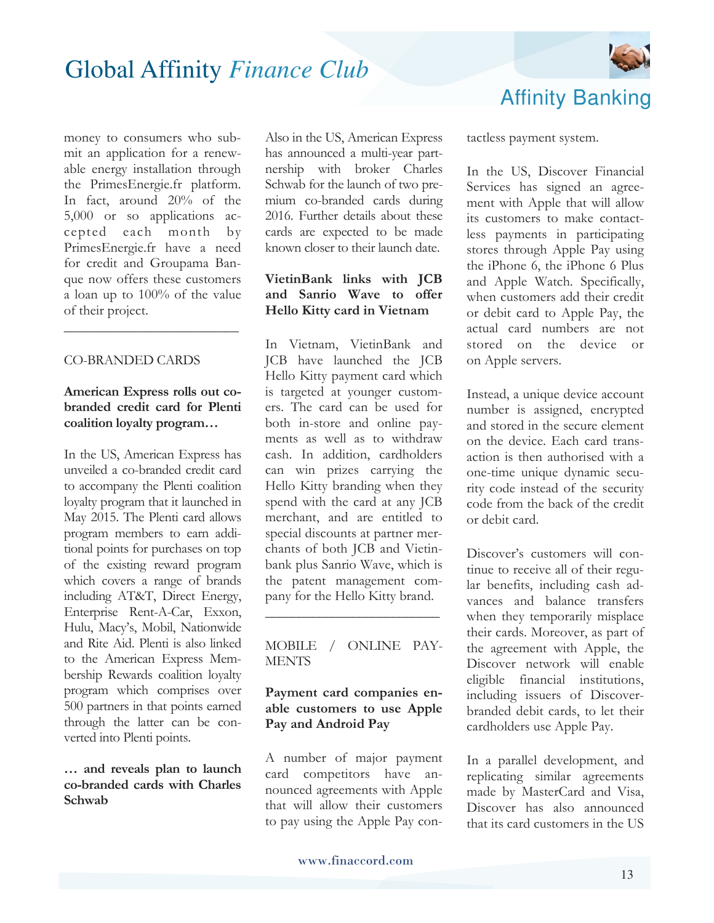

money to consumers who submit an application for a renewable energy installation through the PrimesEnergie.fr platform. In fact, around 20% of the 5,000 or so applications accepted each month by PrimesEnergie.fr have a need for credit and Groupama Banque now offers these customers a loan up to 100% of the value of their project.

#### CO-BRANDED CARDS

#### **American Express rolls out cobranded credit card for Plenti coalition loyalty program…**

\_\_\_\_\_\_\_\_\_\_\_\_\_\_\_\_\_\_\_\_\_\_\_\_\_

In the US, American Express has unveiled a co-branded credit card to accompany the Plenti coalition loyalty program that it launched in May 2015. The Plenti card allows program members to earn additional points for purchases on top of the existing reward program which covers a range of brands including AT&T, Direct Energy, Enterprise Rent-A-Car, Exxon, Hulu, Macy's, Mobil, Nationwide and Rite Aid. Plenti is also linked to the American Express Membership Rewards coalition loyalty program which comprises over 500 partners in that points earned through the latter can be converted into Plenti points.

#### **… and reveals plan to launch co-branded cards with Charles Schwab**

Also in the US, American Express has announced a multi-year partnership with broker Charles Schwab for the launch of two premium co-branded cards during 2016. Further details about these cards are expected to be made known closer to their launch date.

#### **VietinBank links with JCB and Sanrio Wave to offer Hello Kitty card in Vietnam**

In Vietnam, VietinBank and JCB have launched the JCB Hello Kitty payment card which is targeted at younger customers. The card can be used for both in-store and online payments as well as to withdraw cash. In addition, cardholders can win prizes carrying the Hello Kitty branding when they spend with the card at any JCB merchant, and are entitled to special discounts at partner merchants of both JCB and Vietinbank plus Sanrio Wave, which is the patent management company for the Hello Kitty brand.

#### MOBILE / ONLINE PAY-**MENTS**

\_\_\_\_\_\_\_\_\_\_\_\_\_\_\_\_\_\_\_\_\_\_\_\_\_\_

#### **Payment card companies enable customers to use Apple Pay and Android Pay**

A number of major payment card competitors have announced agreements with Apple that will allow their customers to pay using the Apple Pay contactless payment system.

In the US, Discover Financial Services has signed an agreement with Apple that will allow its customers to make contactless payments in participating stores through Apple Pay using the iPhone 6, the iPhone 6 Plus and Apple Watch. Specifically, when customers add their credit or debit card to Apple Pay, the actual card numbers are not stored on the device or on Apple servers.

Instead, a unique device account number is assigned, encrypted and stored in the secure element on the device. Each card transaction is then authorised with a one-time unique dynamic security code instead of the security code from the back of the credit or debit card.

Discover's customers will continue to receive all of their regular benefits, including cash advances and balance transfers when they temporarily misplace their cards. Moreover, as part of the agreement with Apple, the Discover network will enable eligible financial institutions, including issuers of Discoverbranded debit cards, to let their cardholders use Apple Pay.

In a parallel development, and replicating similar agreements made by MasterCard and Visa, Discover has also announced that its card customers in the US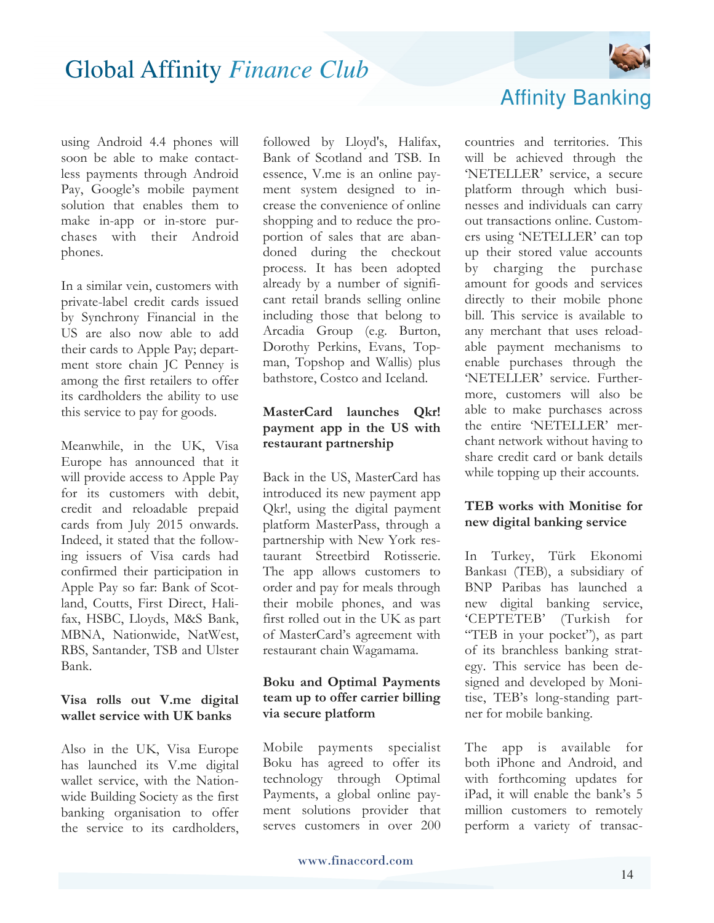

using Android 4.4 phones will soon be able to make contactless payments through Android Pay, Google's mobile payment solution that enables them to make in-app or in-store purchases with their Android phones.

In a similar vein, customers with private-label credit cards issued by Synchrony Financial in the US are also now able to add their cards to Apple Pay; department store chain JC Penney is among the first retailers to offer its cardholders the ability to use this service to pay for goods.

Meanwhile, in the UK, Visa Europe has announced that it will provide access to Apple Pay for its customers with debit, credit and reloadable prepaid cards from July 2015 onwards. Indeed, it stated that the following issuers of Visa cards had confirmed their participation in Apple Pay so far: Bank of Scotland, Coutts, First Direct, Halifax, HSBC, Lloyds, M&S Bank, MBNA, Nationwide, NatWest, RBS, Santander, TSB and Ulster Bank.

#### **Visa rolls out V.me digital wallet service with UK banks**

Also in the UK, Visa Europe has launched its V.me digital wallet service, with the Nationwide Building Society as the first banking organisation to offer the service to its cardholders,

followed by Lloyd's, Halifax, Bank of Scotland and TSB. In essence, V.me is an online payment system designed to increase the convenience of online shopping and to reduce the proportion of sales that are abandoned during the checkout process. It has been adopted already by a number of significant retail brands selling online including those that belong to Arcadia Group (e.g. Burton, Dorothy Perkins, Evans, Topman, Topshop and Wallis) plus bathstore, Costco and Iceland.

#### **MasterCard launches Qkr! payment app in the US with restaurant partnership**

Back in the US, MasterCard has introduced its new payment app Qkr!, using the digital payment platform MasterPass, through a partnership with New York restaurant Streetbird Rotisserie. The app allows customers to order and pay for meals through their mobile phones, and was first rolled out in the UK as part of MasterCard's agreement with restaurant chain Wagamama.

#### **Boku and Optimal Payments team up to offer carrier billing via secure platform**

Mobile payments specialist Boku has agreed to offer its technology through Optimal Payments, a global online payment solutions provider that serves customers in over 200

### Affinity Banking

countries and territories. This will be achieved through the 'NETELLER' service, a secure platform through which businesses and individuals can carry out transactions online. Customers using 'NETELLER' can top up their stored value accounts by charging the purchase amount for goods and services directly to their mobile phone bill. This service is available to any merchant that uses reloadable payment mechanisms to enable purchases through the 'NETELLER' service. Furthermore, customers will also be able to make purchases across the entire 'NETELLER' merchant network without having to share credit card or bank details while topping up their accounts.

#### **TEB works with Monitise for new digital banking service**

In Turkey, Türk Ekonomi Bankası (TEB), a subsidiary of BNP Paribas has launched a new digital banking service, 'CEPTETEB' (Turkish for "TEB in your pocket"), as part of its branchless banking strategy. This service has been designed and developed by Monitise, TEB's long-standing partner for mobile banking.

The app is available for both iPhone and Android, and with forthcoming updates for iPad, it will enable the bank's 5 million customers to remotely perform a variety of transac-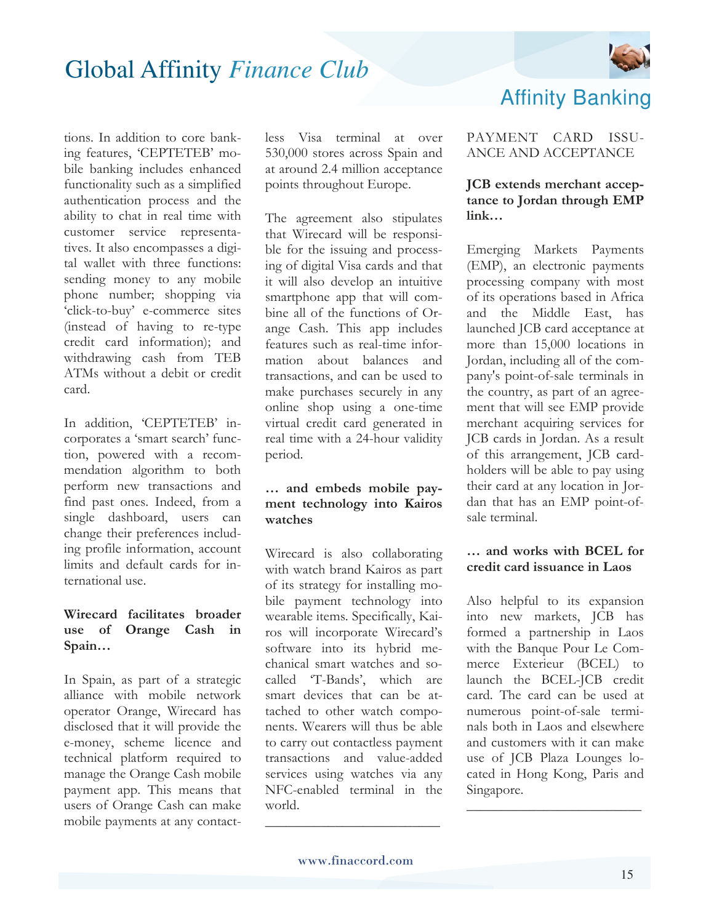

tions. In addition to core banking features, 'CEPTETEB' mobile banking includes enhanced functionality such as a simplified authentication process and the ability to chat in real time with customer service representatives. It also encompasses a digital wallet with three functions: sending money to any mobile phone number; shopping via 'click-to-buy' e-commerce sites (instead of having to re-type credit card information); and withdrawing cash from TEB ATMs without a debit or credit card.

In addition, 'CEPTETEB' incorporates a 'smart search' function, powered with a recommendation algorithm to both perform new transactions and find past ones. Indeed, from a single dashboard, users can change their preferences including profile information, account limits and default cards for international use.

#### **Wirecard facilitates broader use of Orange Cash in Spain…**

In Spain, as part of a strategic alliance with mobile network operator Orange, Wirecard has disclosed that it will provide the e-money, scheme licence and technical platform required to manage the Orange Cash mobile payment app. This means that users of Orange Cash can make mobile payments at any contactless Visa terminal at over 530,000 stores across Spain and at around 2.4 million acceptance points throughout Europe.

The agreement also stipulates that Wirecard will be responsible for the issuing and processing of digital Visa cards and that it will also develop an intuitive smartphone app that will combine all of the functions of Orange Cash. This app includes features such as real-time information about balances and transactions, and can be used to make purchases securely in any online shop using a one-time virtual credit card generated in real time with a 24-hour validity period.

#### **… and embeds mobile payment technology into Kairos watches**

Wirecard is also collaborating with watch brand Kairos as part of its strategy for installing mobile payment technology into wearable items. Specifically, Kairos will incorporate Wirecard's software into its hybrid mechanical smart watches and socalled 'T-Bands', which are smart devices that can be attached to other watch components. Wearers will thus be able to carry out contactless payment transactions and value-added services using watches via any NFC-enabled terminal in the world.

### Affinity Banking

PAYMENT CARD ISSU-ANCE AND ACCEPTANCE

#### **JCB extends merchant acceptance to Jordan through EMP link…**

Emerging Markets Payments (EMP), an electronic payments processing company with most of its operations based in Africa and the Middle East, has launched JCB card acceptance at more than 15,000 locations in Jordan, including all of the company's point-of-sale terminals in the country, as part of an agreement that will see EMP provide merchant acquiring services for JCB cards in Jordan. As a result of this arrangement, JCB cardholders will be able to pay using their card at any location in Jordan that has an EMP point-ofsale terminal.

#### **… and works with BCEL for credit card issuance in Laos**

Also helpful to its expansion into new markets, JCB has formed a partnership in Laos with the Banque Pour Le Commerce Exterieur (BCEL) to launch the BCEL-JCB credit card. The card can be used at numerous point-of-sale terminals both in Laos and elsewhere and customers with it can make use of JCB Plaza Lounges located in Hong Kong, Paris and Singapore.

 $\overline{\phantom{a}}$  , where  $\overline{\phantom{a}}$  , where  $\overline{\phantom{a}}$  , where  $\overline{\phantom{a}}$ 

 $\overline{\phantom{a}}$  , where  $\overline{\phantom{a}}$  , where  $\overline{\phantom{a}}$  , where  $\overline{\phantom{a}}$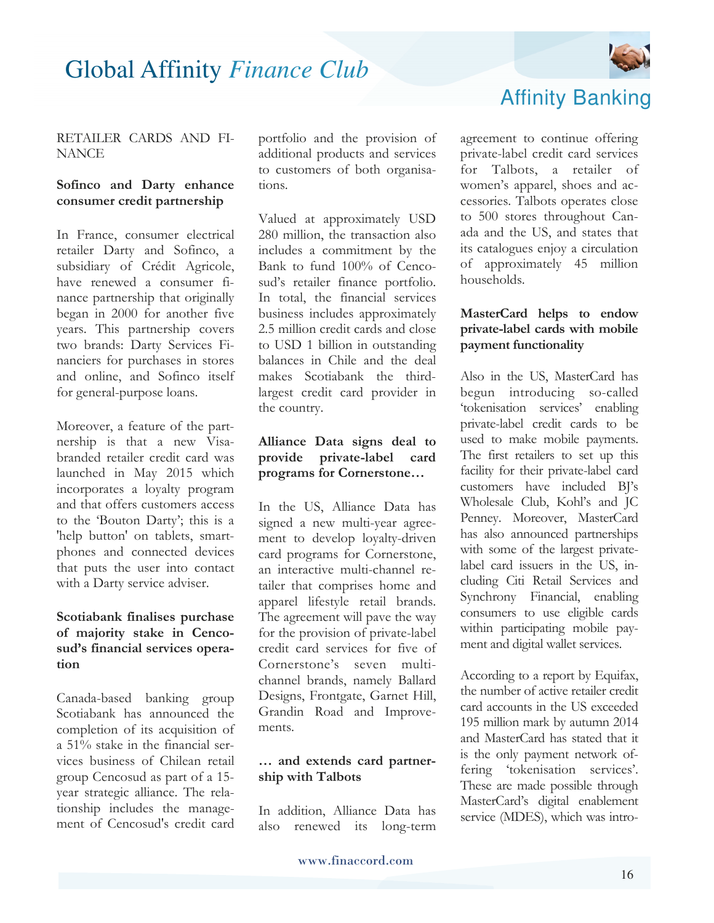

#### RETAILER CARDS AND FI-**NANCE**

#### **Sofinco and Darty enhance consumer credit partnership**

In France, consumer electrical retailer Darty and Sofinco, a subsidiary of Crédit Agricole, have renewed a consumer finance partnership that originally began in 2000 for another five years. This partnership covers two brands: Darty Services Financiers for purchases in stores and online, and Sofinco itself for general-purpose loans.

Moreover, a feature of the partnership is that a new Visabranded retailer credit card was launched in May 2015 which incorporates a loyalty program and that offers customers access to the 'Bouton Darty'; this is a 'help button' on tablets, smartphones and connected devices that puts the user into contact with a Darty service adviser.

#### **Scotiabank finalises purchase of majority stake in Cencosud's financial services operation**

Canada-based banking group Scotiabank has announced the completion of its acquisition of a 51% stake in the financial services business of Chilean retail group Cencosud as part of a 15 year strategic alliance. The relationship includes the management of Cencosud's credit card

portfolio and the provision of additional products and services to customers of both organisations.

Valued at approximately USD 280 million, the transaction also includes a commitment by the Bank to fund 100% of Cencosud's retailer finance portfolio. In total, the financial services business includes approximately 2.5 million credit cards and close to USD 1 billion in outstanding balances in Chile and the deal makes Scotiabank the thirdlargest credit card provider in the country.

#### **Alliance Data signs deal to provide private-label card programs for Cornerstone…**

In the US, Alliance Data has signed a new multi-year agreement to develop loyalty-driven card programs for Cornerstone, an interactive multi-channel retailer that comprises home and apparel lifestyle retail brands. The agreement will pave the way for the provision of private-label credit card services for five of Cornerstone's seven multichannel brands, namely Ballard Designs, Frontgate, Garnet Hill, Grandin Road and Improvements.

#### **… and extends card partnership with Talbots**

In addition, Alliance Data has also renewed its long-term



agreement to continue offering private-label credit card services for Talbots, a retailer of women's apparel, shoes and accessories. Talbots operates close to 500 stores throughout Canada and the US, and states that its catalogues enjoy a circulation of approximately 45 million households.

#### **MasterCard helps to endow private-label cards with mobile payment functionality**

Also in the US, MasterCard has begun introducing so-called 'tokenisation services' enabling private-label credit cards to be used to make mobile payments. The first retailers to set up this facility for their private-label card customers have included BJ's Wholesale Club, Kohl's and JC Penney. Moreover, MasterCard has also announced partnerships with some of the largest privatelabel card issuers in the US, including Citi Retail Services and Synchrony Financial, enabling consumers to use eligible cards within participating mobile payment and digital wallet services.

According to a report by Equifax, the number of active retailer credit card accounts in the US exceeded 195 million mark by autumn 2014 and MasterCard has stated that it is the only payment network offering 'tokenisation services'. These are made possible through MasterCard's digital enablement service (MDES), which was intro-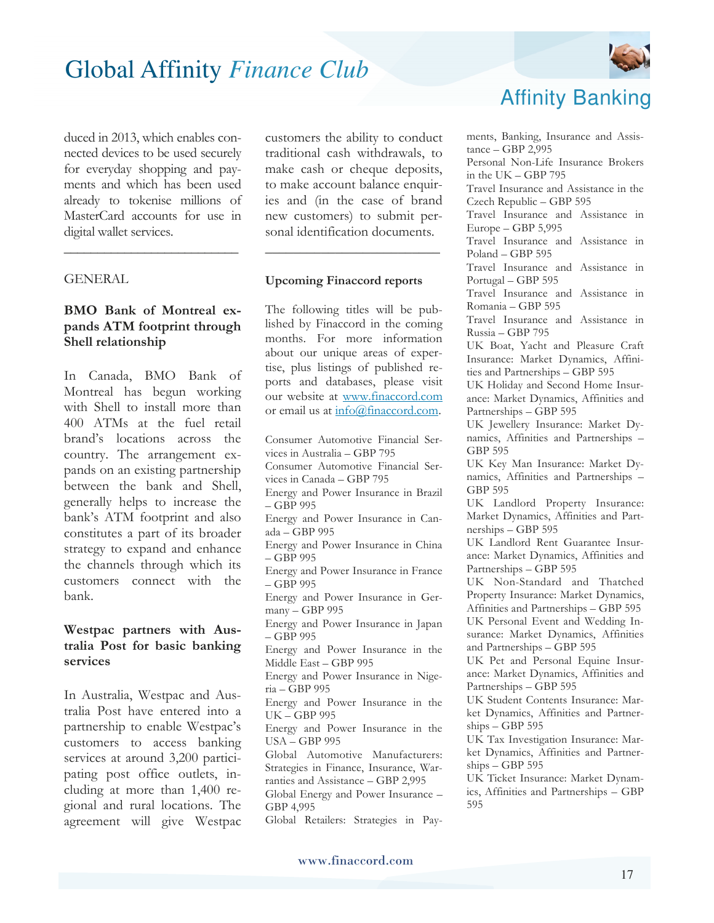duced in 2013, which enables connected devices to be used securely for everyday shopping and payments and which has been used already to tokenise millions of MasterCard accounts for use in digital wallet services.

\_\_\_\_\_\_\_\_\_\_\_\_\_\_\_\_\_\_\_\_\_\_\_\_\_\_

#### **GENERAL**

#### **BMO Bank of Montreal expands ATM footprint through Shell relationship**

In Canada, BMO Bank of Montreal has begun working with Shell to install more than 400 ATMs at the fuel retail brand's locations across the country. The arrangement expands on an existing partnership between the bank and Shell, generally helps to increase the bank's ATM footprint and also constitutes a part of its broader strategy to expand and enhance the channels through which its customers connect with the bank.

#### **Westpac partners with Australia Post for basic banking services**

In Australia, Westpac and Australia Post have entered into a partnership to enable Westpac's customers to access banking services at around 3,200 participating post office outlets, including at more than 1,400 regional and rural locations. The agreement will give Westpac customers the ability to conduct traditional cash withdrawals, to make cash or cheque deposits, to make account balance enquiries and (in the case of brand new customers) to submit personal identification documents.

\_\_\_\_\_\_\_\_\_\_\_\_\_\_\_\_\_\_\_\_\_\_\_\_\_

#### **Upcoming Finaccord reports**

The following titles will be published by Finaccord in the coming months. For more information about our unique areas of expertise, plus listings of published reports and databases, please visit our website at www.finaccord.com or email us at info@finaccord.com.

Consumer Automotive Financial Services in Australia – GBP 795 Consumer Automotive Financial Services in Canada – GBP 795 Energy and Power Insurance in Brazil – GBP 995 Energy and Power Insurance in Canada – GBP 995 Energy and Power Insurance in China – GBP 995 Energy and Power Insurance in France – GBP 995 Energy and Power Insurance in Germany – GBP 995 Energy and Power Insurance in Japan – GBP 995 Energy and Power Insurance in the Middle East – GBP 995 Energy and Power Insurance in Nigeria – GBP 995 Energy and Power Insurance in the UK – GBP 995 Energy and Power Insurance in the USA – GBP 995 Global Automotive Manufacturers: Strategies in Finance, Insurance, Warranties and Assistance – GBP 2,995 Global Energy and Power Insurance – GBP 4,995 Global Retailers: Strategies in Pay-



### Affinity Banking

ments, Banking, Insurance and Assistance – GBP 2,995 Personal Non-Life Insurance Brokers in the UK – GBP 795 Travel Insurance and Assistance in the Czech Republic – GBP 595 Travel Insurance and Assistance in Europe – GBP 5,995 Travel Insurance and Assistance in Poland – GBP 595 Travel Insurance and Assistance in Portugal – GBP 595 Travel Insurance and Assistance in Romania – GBP 595 Travel Insurance and Assistance in Russia – GBP 795 UK Boat, Yacht and Pleasure Craft Insurance: Market Dynamics, Affinities and Partnerships – GBP 595 UK Holiday and Second Home Insurance: Market Dynamics, Affinities and Partnerships – GBP 595 UK Jewellery Insurance: Market Dynamics, Affinities and Partnerships – GBP 595 UK Key Man Insurance: Market Dynamics, Affinities and Partnerships – GBP 595 UK Landlord Property Insurance: Market Dynamics, Affinities and Partnerships – GBP 595 UK Landlord Rent Guarantee Insurance: Market Dynamics, Affinities and Partnerships – GBP 595 UK Non-Standard and Thatched Property Insurance: Market Dynamics, Affinities and Partnerships – GBP 595 UK Personal Event and Wedding Insurance: Market Dynamics, Affinities and Partnerships – GBP 595 UK Pet and Personal Equine Insurance: Market Dynamics, Affinities and Partnerships – GBP 595 UK Student Contents Insurance: Market Dynamics, Affinities and Partnerships – GBP 595 UK Tax Investigation Insurance: Market Dynamics, Affinities and Partner- $\frac{\text{ships}}{\text{GBP}}$  595 UK Ticket Insurance: Market Dynamics, Affinities and Partnerships – GBP 595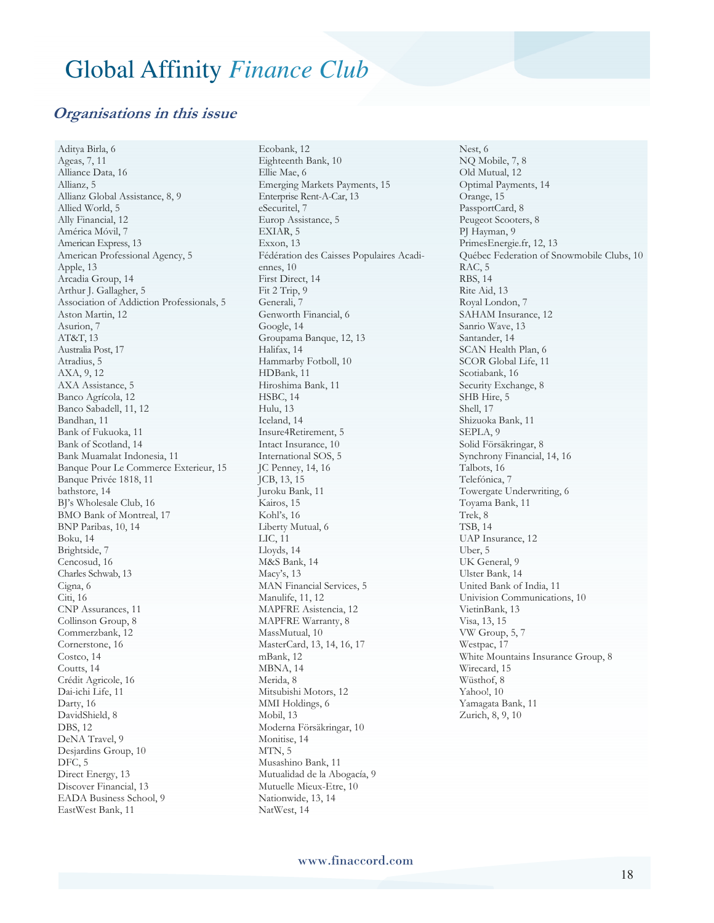#### **Organisations in this issue**

Aditya Birla, 6 Ageas, 7, 11 Alliance Data, 16 Allianz, 5 Allianz Global Assistance, 8, 9 Allied World, 5 Ally Financial, 12 América Móvil, 7 American Express, 13 American Professional Agency, 5 Apple, 13 Arcadia Group, 14 Arthur J. Gallagher, 5 Association of Addiction Professionals, 5 Aston Martin, 12 Asurion, 7 AT&T, 13 Australia Post, 17 Atradius, 5 AXA, 9, 12 AXA Assistance, 5 Banco Agrícola, 12 Banco Sabadell, 11, 12 Bandhan, 11 Bank of Fukuoka, 11 Bank of Scotland, 14 Bank Muamalat Indonesia, 11 Banque Pour Le Commerce Exterieur, 15 Banque Privée 1818, 11 bathstore, 14 BJ's Wholesale Club, 16 BMO Bank of Montreal, 17 BNP Paribas, 10, 14 Boku, 14 Brightside, 7 Cencosud, 16 Charles Schwab, 13 Cigna, 6 Citi, 16 CNP Assurances, 11 Collinson Group, 8 Commerzbank, 12 Cornerstone, 16 Costco, 14 Coutts, 14 Crédit Agricole, 16 Dai-ichi Life, 11 Darty, 16 DavidShield, 8 DBS, 12 DeNA Travel, 9 Desjardins Group, 10 DFC, 5 Direct Energy, 13 Discover Financial, 13 EADA Business School, 9 EastWest Bank, 11

Ecobank, 12 Eighteenth Bank, 10 Ellie Mae, 6 Emerging Markets Payments, 15 Enterprise Rent-A-Car, 13 eSecuritel, 7 Europ Assistance, 5 EXIAR, 5 Exxon, 13 Fédération des Caisses Populaires Acadiennes, 10 First Direct, 14 Fit 2 Trip, 9 Generali, 7 Genworth Financial, 6 Google, 14 Groupama Banque, 12, 13 Halifax, 14 Hammarby Fotboll, 10 HDBank, 11 Hiroshima Bank, 11 HSBC, 14 Hulu, 13 Iceland, 14 Insure4Retirement, 5 Intact Insurance, 10 International SOS, 5 JC Penney, 14, 16 JCB, 13, 15 Juroku Bank, 11 Kairos, 15 Kohl's, 16 Liberty Mutual, 6 LIC, 11 Lloyds, 14 M&S Bank, 14 Macy's, 13 MAN Financial Services, 5 Manulife, 11, 12 MAPFRE Asistencia, 12 MAPFRE Warranty, 8 MassMutual, 10 MasterCard, 13, 14, 16, 17 mBank, 12 MBNA, 14 Merida, 8 Mitsubishi Motors, 12 MMI Holdings, 6 Mobil, 13 Moderna Försäkringar, 10 Monitise, 14 MTN, 5 Musashino Bank, 11 Mutualidad de la Abogacía, 9 Mutuelle Mieux-Etre, 10 Nationwide, 13, 14 NatWest, 14

Nest, 6 NQ Mobile, 7, 8 Old Mutual, 12 Optimal Payments, 14 Orange, 15 PassportCard, 8 Peugeot Scooters, 8 PJ Hayman, 9 PrimesEnergie.fr, 12, 13 Québec Federation of Snowmobile Clubs, 10 RAC, 5 RBS, 14 Rite Aid, 13 Royal London, 7 SAHAM Insurance, 12 Sanrio Wave, 13 Santander, 14 SCAN Health Plan, 6 SCOR Global Life, 11 Scotiabank, 16 Security Exchange, 8 SHB Hire, 5 Shell, 17 Shizuoka Bank, 11 SEPLA, 9 Solid Försäkringar, 8 Synchrony Financial, 14, 16 Talbots, 16 Telefónica, 7 Towergate Underwriting, 6 Toyama Bank, 11 Trek, 8 TSB, 14 UAP Insurance, 12 Uber, 5 UK General, 9 Ulster Bank, 14 United Bank of India, 11 Univision Communications, 10 VietinBank, 13 Visa, 13, 15 VW Group, 5, 7 Westpac, 17 White Mountains Insurance Group, 8 Wirecard, 15 Wüsthof, 8 Yahoo!, 10 Yamagata Bank, 11 Zurich, 8, 9, 10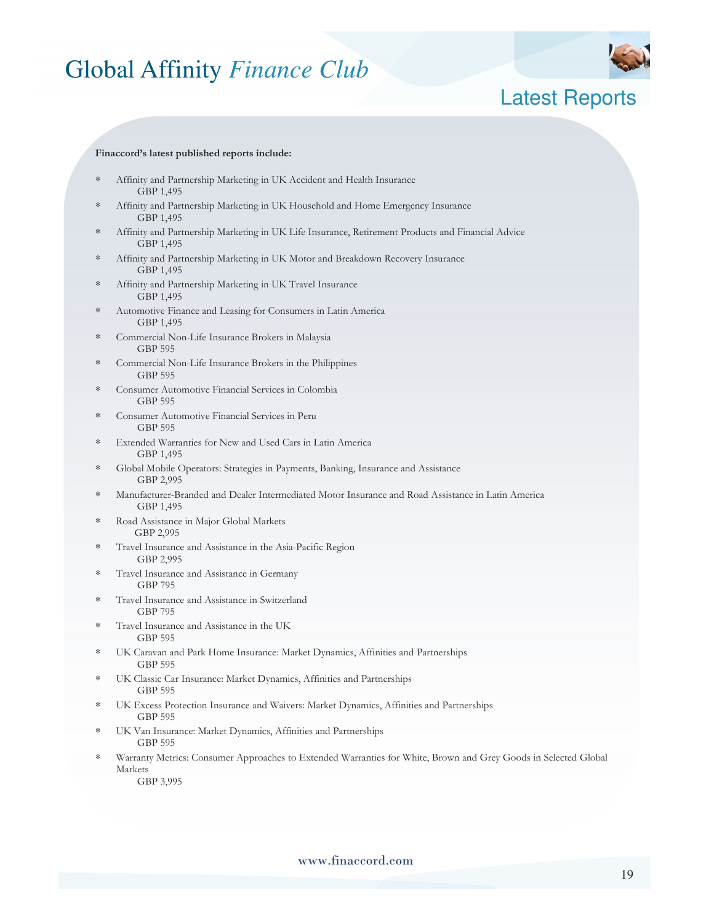

### Latest Reports

#### **Finaccord's latest published reports include:**

- Affinity and Partnership Marketing in UK Accident and Health Insurance GBP 1,495
- Affinity and Partnership Marketing in UK Household and Home Emergency Insurance GBP 1,495
- ∗ Affinity and Partnership Marketing in UK Life Insurance, Retirement Products and Financial Advice GBP 1,495
- Affinity and Partnership Marketing in UK Motor and Breakdown Recovery Insurance GBP 1,495
- Affinity and Partnership Marketing in UK Travel Insurance GBP 1,495
- Automotive Finance and Leasing for Consumers in Latin America GBP 1,495
- Commercial Non-Life Insurance Brokers in Malaysia GBP 595
- Commercial Non-Life Insurance Brokers in the Philippines GBP 595
- ∗ Consumer Automotive Financial Services in Colombia GBP 595
- ∗ Consumer Automotive Financial Services in Peru GBP 595
- ∗ Extended Warranties for New and Used Cars in Latin America GBP 1,495
- ∗ Global Mobile Operators: Strategies in Payments, Banking, Insurance and Assistance GBP 2,995
- ∗ Manufacturer-Branded and Dealer Intermediated Motor Insurance and Road Assistance in Latin America GBP 1,495
- ∗ Road Assistance in Major Global Markets GBP 2,995
- Travel Insurance and Assistance in the Asia-Pacific Region GBP 2,995
- ∗ Travel Insurance and Assistance in Germany GBP 795
- ∗ Travel Insurance and Assistance in Switzerland GBP 795
- ∗ Travel Insurance and Assistance in the UK GBP 595
- ∗ UK Caravan and Park Home Insurance: Market Dynamics, Affinities and Partnerships GBP 595
- ∗ UK Classic Car Insurance: Market Dynamics, Affinities and Partnerships GBP 595
- ∗ UK Excess Protection Insurance and Waivers: Market Dynamics, Affinities and Partnerships GBP 595
- UK Van Insurance: Market Dynamics, Affinities and Partnerships GBP 595
- Warranty Metrics: Consumer Approaches to Extended Warranties for White, Brown and Grey Goods in Selected Global Markets

GBP 3,995